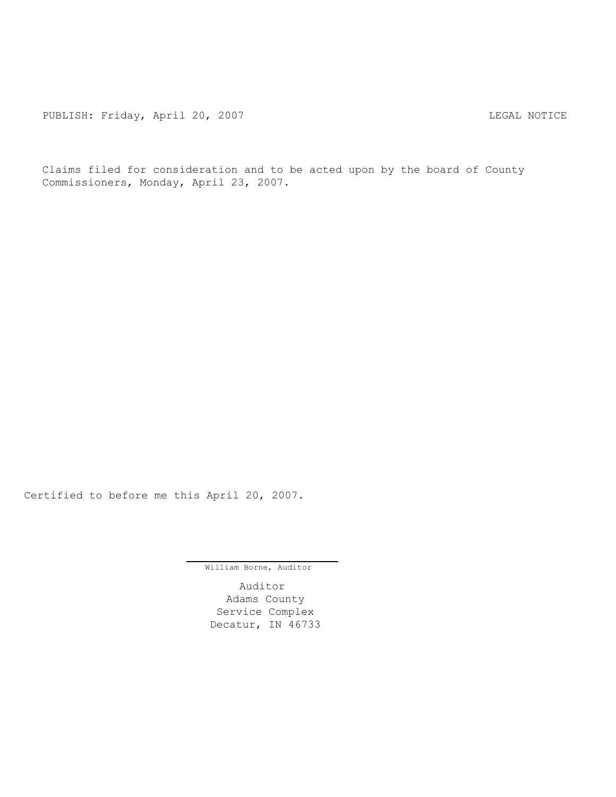PUBLISH: Friday, April 20, 2007 CHA CHANGE AND THE REGAL NOTICE

Claims filed for consideration and to be acted upon by the board of County Commissioners, Monday, April 23, 2007.

Certified to before me this April 20, 2007.

William Borne, Auditor

Auditor Adams County Service Complex Decatur, IN 46733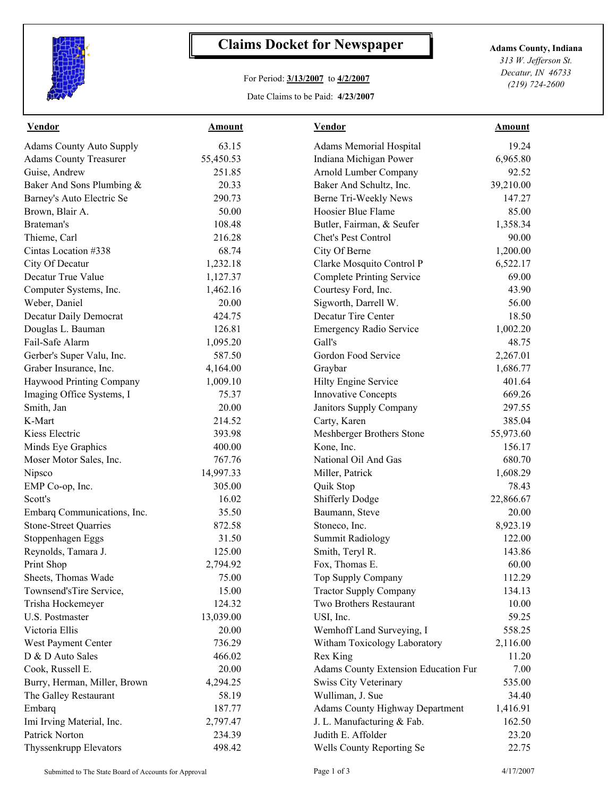

## **Claims Docket for Newspaper Adams County, Indiana**

## For Period: **3/13/2007** to **4/2/2007**

Date Claims to be Paid: **4/23/2007**

*313 W. Jefferson St. Decatur, IN 46733 (219) 724-2600*

| <b>Vendor</b>                   | <b>Amount</b> | <b>Vendor</b>                          | <b>Amount</b> |
|---------------------------------|---------------|----------------------------------------|---------------|
| <b>Adams County Auto Supply</b> | 63.15         | Adams Memorial Hospital                | 19.24         |
| <b>Adams County Treasurer</b>   | 55,450.53     | Indiana Michigan Power                 | 6,965.80      |
| Guise, Andrew                   | 251.85        | Arnold Lumber Company                  | 92.52         |
| Baker And Sons Plumbing &       | 20.33         | Baker And Schultz, Inc.                | 39,210.00     |
| Barney's Auto Electric Se       | 290.73        | Berne Tri-Weekly News                  | 147.27        |
| Brown, Blair A.                 | 50.00         | Hoosier Blue Flame                     | 85.00         |
| Brateman's                      | 108.48        | Butler, Fairman, & Seufer              | 1,358.34      |
| Thieme, Carl                    | 216.28        | Chet's Pest Control                    | 90.00         |
| Cintas Location #338            | 68.74         | City Of Berne                          | 1,200.00      |
| City Of Decatur                 | 1,232.18      | Clarke Mosquito Control P              | 6,522.17      |
| Decatur True Value              | 1,127.37      | <b>Complete Printing Service</b>       | 69.00         |
| Computer Systems, Inc.          | 1,462.16      | Courtesy Ford, Inc.                    | 43.90         |
| Weber, Daniel                   | 20.00         | Sigworth, Darrell W.                   | 56.00         |
| Decatur Daily Democrat          | 424.75        | Decatur Tire Center                    | 18.50         |
| Douglas L. Bauman               | 126.81        | <b>Emergency Radio Service</b>         | 1,002.20      |
| Fail-Safe Alarm                 | 1,095.20      | Gall's                                 | 48.75         |
| Gerber's Super Valu, Inc.       | 587.50        | Gordon Food Service                    | 2,267.01      |
| Graber Insurance, Inc.          | 4,164.00      | Graybar                                | 1,686.77      |
| Haywood Printing Company        | 1,009.10      | Hilty Engine Service                   | 401.64        |
| Imaging Office Systems, I       | 75.37         | <b>Innovative Concepts</b>             | 669.26        |
| Smith, Jan                      | 20.00         | Janitors Supply Company                | 297.55        |
| K-Mart                          | 214.52        | Carty, Karen                           | 385.04        |
| Kiess Electric                  | 393.98        | Meshberger Brothers Stone              | 55,973.60     |
| Minds Eye Graphics              | 400.00        | Kone, Inc.                             | 156.17        |
| Moser Motor Sales, Inc.         | 767.76        | National Oil And Gas                   | 680.70        |
| Nipsco                          | 14,997.33     | Miller, Patrick                        | 1,608.29      |
| EMP Co-op, Inc.                 | 305.00        | Quik Stop                              | 78.43         |
| Scott's                         | 16.02         | <b>Shifferly Dodge</b>                 | 22,866.67     |
| Embarq Communications, Inc.     | 35.50         | Baumann, Steve                         | 20.00         |
| <b>Stone-Street Quarries</b>    | 872.58        | Stoneco, Inc.                          | 8,923.19      |
| Stoppenhagen Eggs               | 31.50         | <b>Summit Radiology</b>                | 122.00        |
| Reynolds, Tamara J.             | 125.00        | Smith, Teryl R.                        | 143.86        |
| Print Shop                      | 2,794.92      | Fox, Thomas E.                         | 60.00         |
| Sheets, Thomas Wade             | 75.00         | Top Supply Company                     | 112.29        |
| Townsend'sTire Service,         | 15.00         | <b>Tractor Supply Company</b>          | 134.13        |
| Trisha Hockemeyer               | 124.32        | Two Brothers Restaurant                | 10.00         |
| U.S. Postmaster                 | 13,039.00     | USI, Inc.                              | 59.25         |
| Victoria Ellis                  | 20.00         | Wemhoff Land Surveying, I              | 558.25        |
| West Payment Center             | 736.29        | Witham Toxicology Laboratory           | 2,116.00      |
| D & D Auto Sales                | 466.02        | Rex King                               | 11.20         |
| Cook, Russell E.                | 20.00         | Adams County Extension Education Fur   | 7.00          |
| Burry, Herman, Miller, Brown    | 4,294.25      | <b>Swiss City Veterinary</b>           | 535.00        |
| The Galley Restaurant           | 58.19         | Wulliman, J. Sue                       | 34.40         |
| Embarq                          | 187.77        | <b>Adams County Highway Department</b> | 1,416.91      |
| Imi Irving Material, Inc.       | 2,797.47      | J. L. Manufacturing & Fab.             | 162.50        |
| Patrick Norton                  | 234.39        | Judith E. Affolder                     | 23.20         |
| Thyssenkrupp Elevators          | 498.42        | Wells County Reporting Se              | 22.75         |
|                                 |               |                                        |               |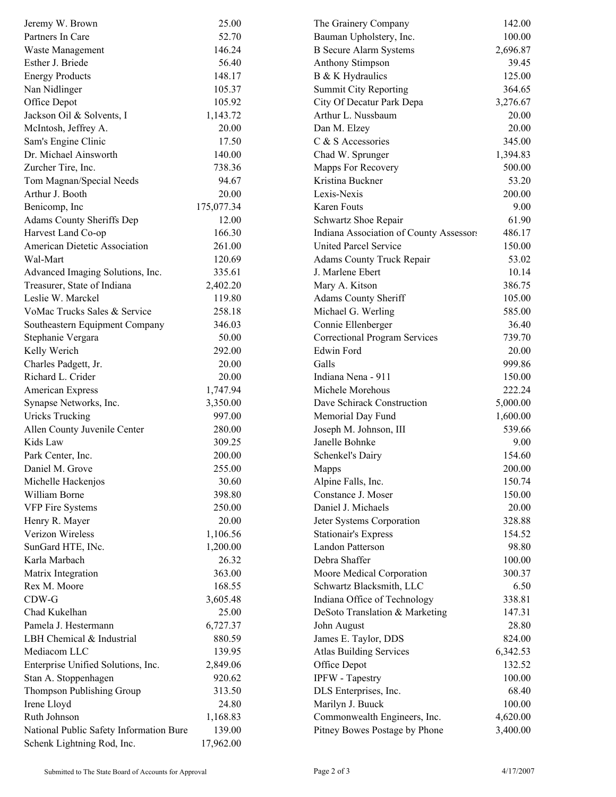| Jeremy W. Brown                         | 25.00      | The Grainery Company                    | 142.00   |  |
|-----------------------------------------|------------|-----------------------------------------|----------|--|
| Partners In Care                        | 52.70      | Bauman Upholstery, Inc.                 | 100.00   |  |
| Waste Management                        | 146.24     | <b>B</b> Secure Alarm Systems           | 2,696.87 |  |
| Esther J. Briede                        | 56.40      | Anthony Stimpson                        | 39.45    |  |
| <b>Energy Products</b>                  | 148.17     | B & K Hydraulics                        | 125.00   |  |
| Nan Nidlinger                           | 105.37     | <b>Summit City Reporting</b>            | 364.65   |  |
| Office Depot                            | 105.92     | City Of Decatur Park Depa               | 3,276.67 |  |
| Jackson Oil & Solvents, I               | 1,143.72   | Arthur L. Nussbaum                      | 20.00    |  |
| McIntosh, Jeffrey A.                    | 20.00      | Dan M. Elzey                            | 20.00    |  |
| Sam's Engine Clinic                     | 17.50      | C & S Accessories                       | 345.00   |  |
| Dr. Michael Ainsworth                   | 140.00     | Chad W. Sprunger                        | 1,394.83 |  |
| Zurcher Tire, Inc.                      | 738.36     | Mapps For Recovery                      | 500.00   |  |
| Tom Magnan/Special Needs                | 94.67      | Kristina Buckner                        | 53.20    |  |
| Arthur J. Booth                         | 20.00      | Lexis-Nexis                             | 200.00   |  |
| Benicomp, Inc.                          | 175,077.34 | Karen Fouts                             | 9.00     |  |
| Adams County Sheriffs Dep               | 12.00      | Schwartz Shoe Repair                    | 61.90    |  |
| Harvest Land Co-op                      | 166.30     | Indiana Association of County Assessors | 486.17   |  |
| American Dietetic Association           | 261.00     | <b>United Parcel Service</b>            | 150.00   |  |
| Wal-Mart                                | 120.69     | Adams County Truck Repair               | 53.02    |  |
| Advanced Imaging Solutions, Inc.        | 335.61     | J. Marlene Ebert                        | 10.14    |  |
| Treasurer, State of Indiana             | 2,402.20   | Mary A. Kitson                          | 386.75   |  |
| Leslie W. Marckel                       | 119.80     | Adams County Sheriff                    | 105.00   |  |
| VoMac Trucks Sales & Service            | 258.18     | Michael G. Werling                      | 585.00   |  |
| Southeastern Equipment Company          | 346.03     | Connie Ellenberger                      | 36.40    |  |
| Stephanie Vergara                       | 50.00      | <b>Correctional Program Services</b>    | 739.70   |  |
| Kelly Werich                            | 292.00     | Edwin Ford                              | 20.00    |  |
| Charles Padgett, Jr.                    | 20.00      | Galls                                   | 999.86   |  |
| Richard L. Crider                       | 20.00      | Indiana Nena - 911                      | 150.00   |  |
| American Express                        | 1,747.94   | Michele Morehous                        | 222.24   |  |
| Synapse Networks, Inc.                  | 3,350.00   | Dave Schirack Construction              | 5,000.00 |  |
| <b>Uricks Trucking</b>                  | 997.00     | Memorial Day Fund                       | 1,600.00 |  |
| Allen County Juvenile Center            | 280.00     | Joseph M. Johnson, III                  | 539.66   |  |
| Kids Law                                | 309.25     | Janelle Bohnke                          | 9.00     |  |
| Park Center, Inc.                       | 200.00     | Schenkel's Dairy                        | 154.60   |  |
| Daniel M. Grove                         | 255.00     | Mapps                                   | 200.00   |  |
| Michelle Hackenjos                      | 30.60      | Alpine Falls, Inc.                      | 150.74   |  |
| William Borne                           | 398.80     | Constance J. Moser                      | 150.00   |  |
| <b>VFP Fire Systems</b>                 | 250.00     | Daniel J. Michaels                      | 20.00    |  |
| Henry R. Mayer                          | 20.00      | Jeter Systems Corporation               | 328.88   |  |
| Verizon Wireless                        | 1,106.56   | <b>Stationair's Express</b>             | 154.52   |  |
| SunGard HTE, INc.                       | 1,200.00   | Landon Patterson                        | 98.80    |  |
| Karla Marbach                           | 26.32      | Debra Shaffer                           | 100.00   |  |
| Matrix Integration                      | 363.00     | Moore Medical Corporation               | 300.37   |  |
| Rex M. Moore                            | 168.55     | Schwartz Blacksmith, LLC                | 6.50     |  |
| $CDW-G$                                 | 3,605.48   | Indiana Office of Technology            | 338.81   |  |
| Chad Kukelhan                           | 25.00      | DeSoto Translation & Marketing          | 147.31   |  |
| Pamela J. Hestermann                    | 6,727.37   | John August                             | 28.80    |  |
| LBH Chemical & Industrial               | 880.59     | James E. Taylor, DDS                    | 824.00   |  |
| Mediacom LLC                            | 139.95     | <b>Atlas Building Services</b>          | 6,342.53 |  |
| Enterprise Unified Solutions, Inc.      | 2,849.06   | Office Depot                            | 132.52   |  |
| Stan A. Stoppenhagen                    | 920.62     | IPFW - Tapestry                         | 100.00   |  |
| Thompson Publishing Group               | 313.50     | DLS Enterprises, Inc.                   | 68.40    |  |
| Irene Lloyd                             | 24.80      | Marilyn J. Buuck                        | 100.00   |  |
| Ruth Johnson                            |            |                                         |          |  |
|                                         | 1,168.83   | Commonwealth Engineers, Inc.            | 4,620.00 |  |
| National Public Safety Information Bure | 139.00     | Pitney Bowes Postage by Phone           | 3,400.00 |  |
| Schenk Lightning Rod, Inc.              | 17,962.00  |                                         |          |  |